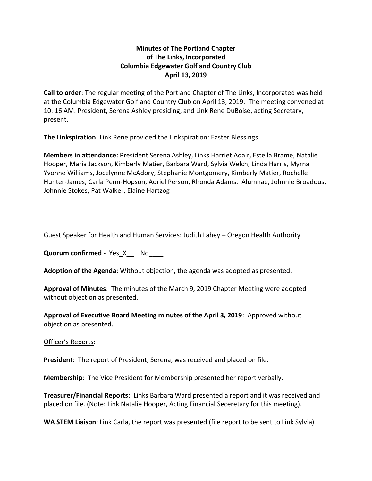## **Minutes of The Portland Chapter of The Links, Incorporated Columbia Edgewater Golf and Country Club April 13, 2019**

**Call to order**: The regular meeting of the Portland Chapter of The Links, Incorporated was held at the Columbia Edgewater Golf and Country Club on April 13, 2019. The meeting convened at 10: 16 AM. President, Serena Ashley presiding, and Link Rene DuBoise, acting Secretary, present.

**The Linkspiration**: Link Rene provided the Linkspiration: Easter Blessings

**Members in attendance**: President Serena Ashley, Links Harriet Adair, Estella Brame, Natalie Hooper, Maria Jackson, Kimberly Matier, Barbara Ward, Sylvia Welch, Linda Harris, Myrna Yvonne Williams, Jocelynne McAdory, Stephanie Montgomery, Kimberly Matier, Rochelle Hunter-James, Carla Penn-Hopson, Adriel Person, Rhonda Adams. Alumnae, Johnnie Broadous, Johnnie Stokes, Pat Walker, Elaine Hartzog

Guest Speaker for Health and Human Services: Judith Lahey – Oregon Health Authority

**Quorum confirmed** - Yes X **No** 

**Adoption of the Agenda**: Without objection, the agenda was adopted as presented.

**Approval of Minutes**: The minutes of the March 9, 2019 Chapter Meeting were adopted without objection as presented.

**Approval of Executive Board Meeting minutes of the April 3, 2019**: Approved without objection as presented.

Officer's Reports:

**President**: The report of President, Serena, was received and placed on file.

**Membership**: The Vice President for Membership presented her report verbally.

**Treasurer/Financial Reports**: Links Barbara Ward presented a report and it was received and placed on file. (Note: Link Natalie Hooper, Acting Financial Seceretary for this meeting).

**WA STEM Liaison**: Link Carla, the report was presented (file report to be sent to Link Sylvia)